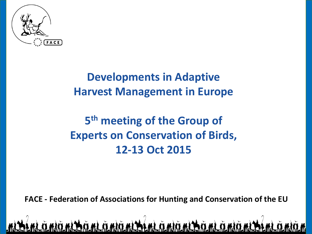

#### **Developments in Adaptive Harvest Management in Europe**

#### **5 th meeting of the Group of Experts on Conservation of Birds, 12-13 Oct 2015**

**FACE - Federation of Associations for Hunting and Conservation of the EU**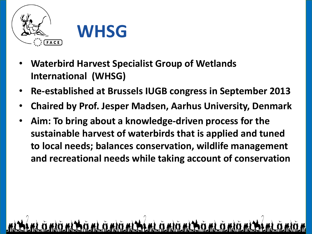



- **Waterbird Harvest Specialist Group of Wetlands International (WHSG)**
- **Re-established at Brussels IUGB congress in September 2013**
- **Chaired by Prof. Jesper Madsen, Aarhus University, Denmark**
- **Aim: To bring about a knowledge-driven process for the sustainable harvest of waterbirds that is applied and tuned to local needs; balances conservation, wildlife management and recreational needs while taking account of conservation**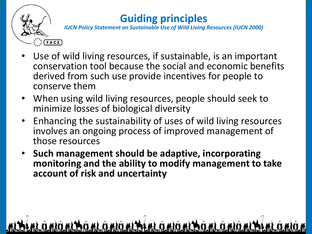

#### **Guiding principles**

*IUCN Policy Statement on Sustainable Use of Wild Living Resources (IUCN 2000)*

- Use of wild living resources, if sustainable, is an important conservation tool because the social and economic benefits derived from such use provide incentives for people to conserve them
- When using wild living resources, people should seek to minimize losses of biological diversity
- Enhancing the sustainability of uses of wild living resources involves an ongoing process of improved management of those resources
- **Such management should be adaptive, incorporating monitoring and the ability to modify management to take account of risk and uncertainty**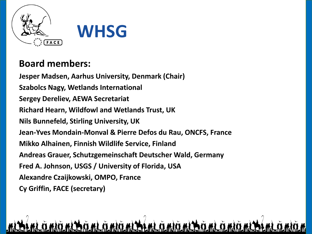

#### **Board members:**

**Jesper Madsen, Aarhus University, Denmark (Chair) Szabolcs Nagy, Wetlands International Sergey Dereliev, AEWA Secretariat Richard Hearn, Wildfowl and Wetlands Trust, UK Nils Bunnefeld, Stirling University, UK Jean-Yves Mondain-Monval & Pierre Defos du Rau, ONCFS, France Mikko Alhainen, Finnish Wildlife Service, Finland Andreas Grauer, Schutzgemeinschaft Deutscher Wald, Germany Fred A. Johnson, USGS / University of Florida, USA Alexandre Czaijkowski, OMPO, France Cy Griffin, FACE (secretary)**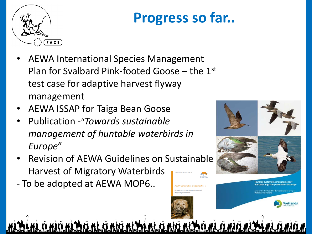

## **Progress so far..**

/A Conservation Guidelines No. 1

- AEWA International Species Management Plan for Svalbard Pink-footed Goose – the 1st test case for adaptive harvest flyway management
- AEWA ISSAP for Taiga Bean Goose
- Publication -"*Towards sustainable management of huntable waterbirds in Europe*"
- Revision of AEWA Guidelines on Sustainable Harvest of Migratory Waterbirds **KAFWA**
- To be adopted at AEWA MOP6..

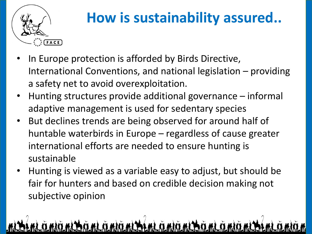

#### **How is sustainability assured..**

- In Europe protection is afforded by Birds Directive, International Conventions, and national legislation – providing a safety net to avoid overexploitation.
- Hunting structures provide additional governance informal adaptive management is used for sedentary species
- But declines trends are being observed for around half of huntable waterbirds in Europe – regardless of cause greater international efforts are needed to ensure hunting is sustainable
- Hunting is viewed as a variable easy to adjust, but should be fair for hunters and based on credible decision making not subjective opinion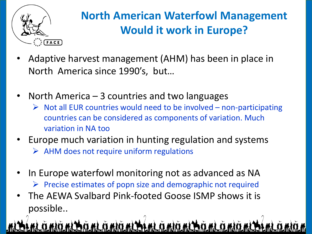

#### **North American Waterfowl Management Would it work in Europe?**

- Adaptive harvest management (AHM) has been in place in North America since 1990's, but…
- North America  $-$  3 countries and two languages
	- $\triangleright$  Not all EUR countries would need to be involved non-participating countries can be considered as components of variation. Much variation in NA too
- Europe much variation in hunting regulation and systems  $\triangleright$  AHM does not require uniform regulations
- In Europe waterfowl monitoring not as advanced as NA  $\triangleright$  Precise estimates of popn size and demographic not required
- The AEWA Svalbard Pink-footed Goose ISMP shows it is possible..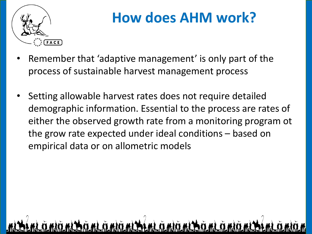

### **How does AHM work?**

- Remember that 'adaptive management' is only part of the process of sustainable harvest management process
- Setting allowable harvest rates does not require detailed demographic information. Essential to the process are rates of either the observed growth rate from a monitoring program ot the grow rate expected under ideal conditions – based on empirical data or on allometric models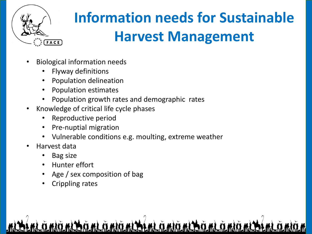

# **Information needs for Sustainable Harvest Management**

- Biological information needs
	- Flyway definitions
	- Population delineation
	- Population estimates
	- Population growth rates and demographic rates
- Knowledge of critical life cycle phases
	- Reproductive period
	- Pre-nuptial migration
	- Vulnerable conditions e.g. moulting, extreme weather
- Harvest data
	- Bag size
	- Hunter effort
	- Age / sex composition of bag
	- Crippling rates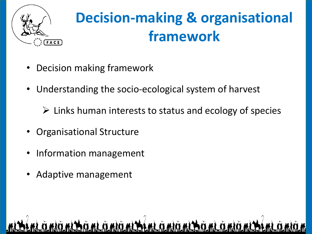

## **Decision-making & organisational framework**

- Decision making framework
- Understanding the socio-ecological system of harvest
	- $\triangleright$  Links human interests to status and ecology of species
- Organisational Structure
- Information management
- Adaptive management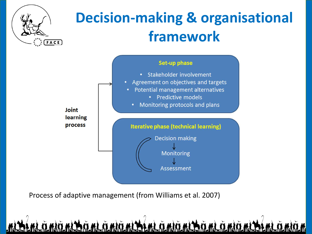

## **Decision-making & organisational framework**



Process of adaptive management (from Williams et al. 2007)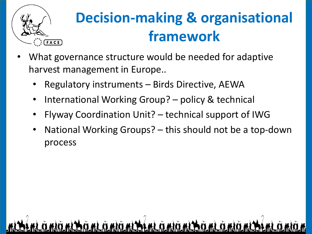

## **Decision-making & organisational framework**

- What governance structure would be needed for adaptive harvest management in Europe..
	- Regulatory instruments Birds Directive, AEWA
	- International Working Group? policy & technical
	- Flyway Coordination Unit? technical support of IWG
	- National Working Groups? this should not be a top-down process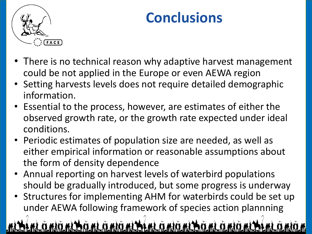

### **Conclusions**

- There is no technical reason why adaptive harvest management could be not applied in the Europe or even AEWA region
- Setting harvests levels does not require detailed demographic information.
- Essential to the process, however, are estimates of either the observed growth rate, or the growth rate expected under ideal conditions.
- Periodic estimates of population size are needed, as well as either empirical information or reasonable assumptions about the form of density dependence
- Annual reporting on harvest levels of waterbird populations should be gradually introduced, but some progress is underway
- Structures for implementing AHM for waterbirds could be set up under AEWA following framework of species action plannning